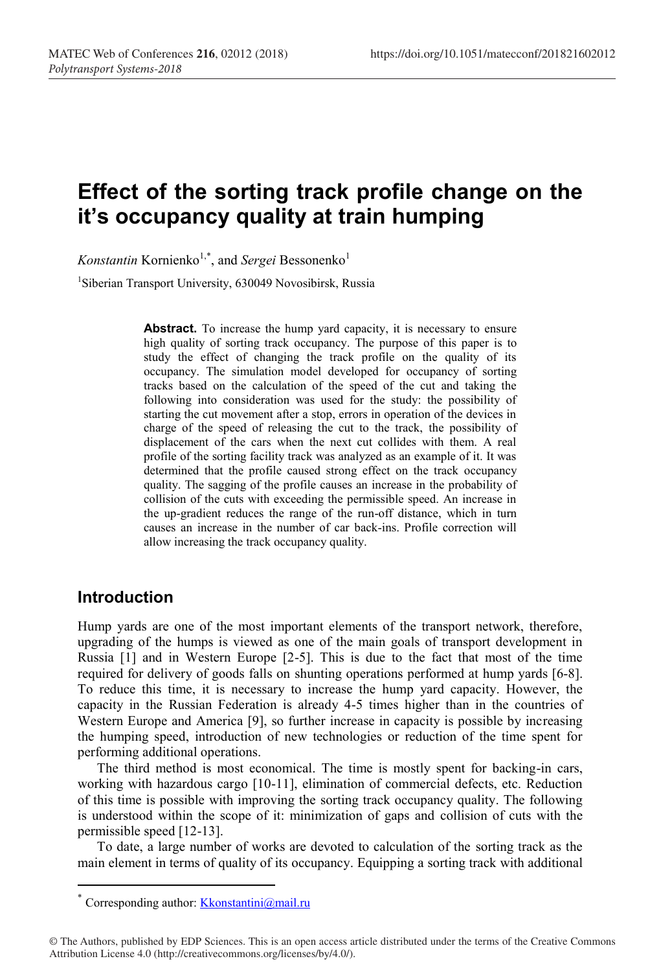# **Effect of the sorting track profile change on the it's occupancy quality at train humping**

Konstantin Kornienko<sup>1,\*</sup>, and *Sergei* Bessonenko<sup>1</sup>

1 Siberian Transport University, 630049 Novosibirsk, Russia

Abstract. To increase the hump yard capacity, it is necessary to ensure high quality of sorting track occupancy. The purpose of this paper is to study the effect of changing the track profile on the quality of its occupancy. The simulation model developed for occupancy of sorting tracks based on the calculation of the speed of the cut and taking the following into consideration was used for the study: the possibility of starting the cut movement after a stop, errors in operation of the devices in charge of the speed of releasing the cut to the track, the possibility of displacement of the cars when the next cut collides with them. A real profile of the sorting facility track was analyzed as an example of it. It was determined that the profile caused strong effect on the track occupancy quality. The sagging of the profile causes an increase in the probability of collision of the cuts with exceeding the permissible speed. An increase in the up-gradient reduces the range of the run-off distance, which in turn causes an increase in the number of car back-ins. Profile correction will allow increasing the track occupancy quality.

# **Introduction**

Hump yards are one of the most important elements of the transport network, therefore, upgrading of the humps is viewed as one of the main goals of transport development in Russia [1] and in Western Europe [2-5]. This is due to the fact that most of the time required for delivery of goods falls on shunting operations performed at hump yards [6-8]. To reduce this time, it is necessary to increase the hump yard capacity. However, the capacity in the Russian Federation is already 4-5 times higher than in the countries of Western Europe and America [9], so further increase in capacity is possible by increasing the humping speed, introduction of new technologies or reduction of the time spent for performing additional operations.

The third method is most economical. The time is mostly spent for backing-in cars, working with hazardous cargo [10-11], elimination of commercial defects, etc. Reduction of this time is possible with improving the sorting track occupancy quality. The following is understood within the scope of it: minimization of gaps and collision of cuts with the permissible speed [12-13].

To date, a large number of works are devoted to calculation of the sorting track as the main element in terms of quality of its occupancy. Equipping a sorting track with additional

Corresponding author: Kkonstantini@mail.ru

<sup>©</sup> The Authors, published by EDP Sciences. This is an open access article distributed under the terms of the Creative Commons Attribution License 4.0 (http://creativecommons.org/licenses/by/4.0/).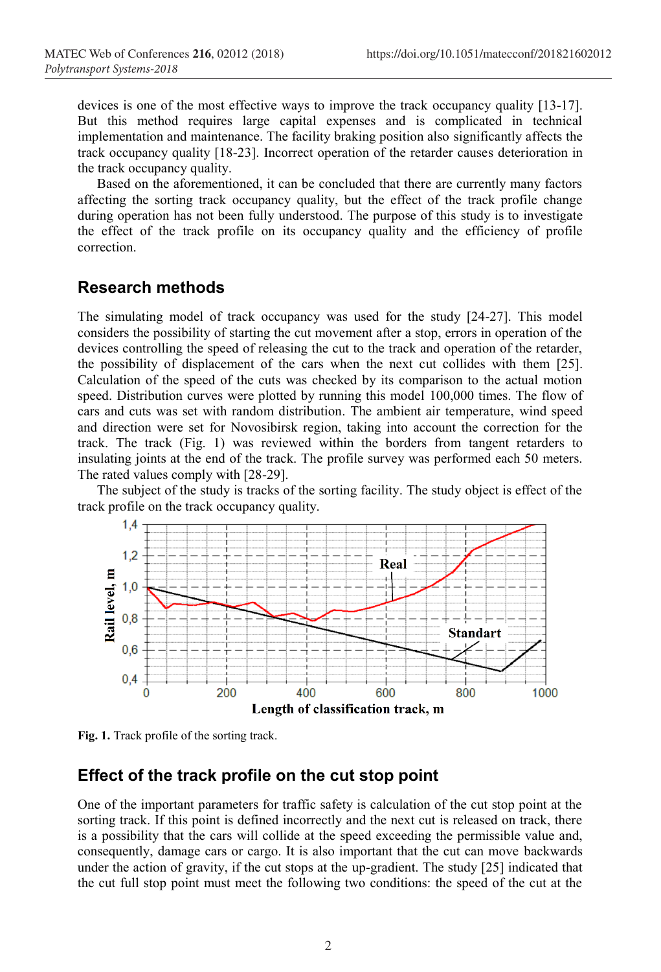devices is one of the most effective ways to improve the track occupancy quality [13-17]. But this method requires large capital expenses and is complicated in technical implementation and maintenance. The facility braking position also significantly affects the track occupancy quality [18-23]. Incorrect operation of the retarder causes deterioration in the track occupancy quality.

Based on the aforementioned, it can be concluded that there are currently many factors affecting the sorting track occupancy quality, but the effect of the track profile change during operation has not been fully understood. The purpose of this study is to investigate the effect of the track profile on its occupancy quality and the efficiency of profile correction.

#### **Research methods**

The simulating model of track occupancy was used for the study [24-27]. This model considers the possibility of starting the cut movement after a stop, errors in operation of the devices controlling the speed of releasing the cut to the track and operation of the retarder, the possibility of displacement of the cars when the next cut collides with them [25]. Calculation of the speed of the cuts was checked by its comparison to the actual motion speed. Distribution curves were plotted by running this model 100,000 times. The flow of cars and cuts was set with random distribution. The ambient air temperature, wind speed and direction were set for Novosibirsk region, taking into account the correction for the track. The track (Fig. 1) was reviewed within the borders from tangent retarders to insulating joints at the end of the track. The profile survey was performed each 50 meters. The rated values comply with [28-29].

The subject of the study is tracks of the sorting facility. The study object is effect of the track profile on the track occupancy quality.





## **Effect of the track profile on the cut stop point**

One of the important parameters for traffic safety is calculation of the cut stop point at the sorting track. If this point is defined incorrectly and the next cut is released on track, there is a possibility that the cars will collide at the speed exceeding the permissible value and, consequently, damage cars or cargo. It is also important that the cut can move backwards under the action of gravity, if the cut stops at the up-gradient. The study [25] indicated that the cut full stop point must meet the following two conditions: the speed of the cut at the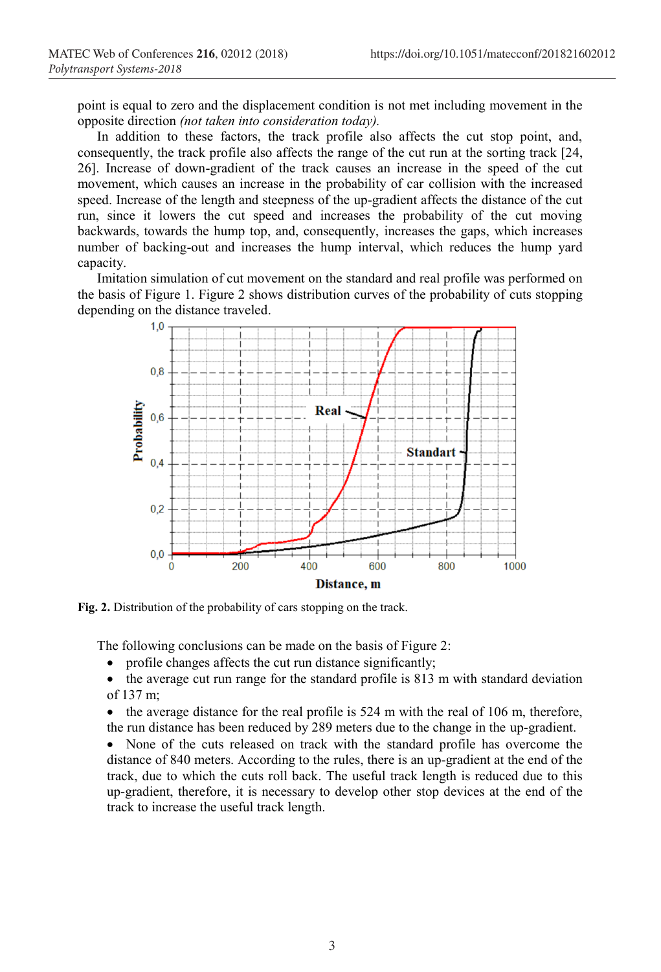point is equal to zero and the displacement condition is not met including movement in the opposite direction *(not taken into consideration today).*

In addition to these factors, the track profile also affects the cut stop point, and, consequently, the track profile also affects the range of the cut run at the sorting track [24, 26]. Increase of down-gradient of the track causes an increase in the speed of the cut movement, which causes an increase in the probability of car collision with the increased speed. Increase of the length and steepness of the up-gradient affects the distance of the cut run, since it lowers the cut speed and increases the probability of the cut moving backwards, towards the hump top, and, consequently, increases the gaps, which increases number of backing-out and increases the hump interval, which reduces the hump yard capacity.

Imitation simulation of cut movement on the standard and real profile was performed on the basis of Figure 1. Figure 2 shows distribution curves of the probability of cuts stopping depending on the distance traveled.



**Fig. 2.** Distribution of the probability of cars stopping on the track.

The following conclusions can be made on the basis of Figure 2:

- profile changes affects the cut run distance significantly;
- the average cut run range for the standard profile is 813 m with standard deviation of 137 m;
- $\bullet$  the average distance for the real profile is 524 m with the real of 106 m, therefore, the run distance has been reduced by 289 meters due to the change in the up-gradient.

 None of the cuts released on track with the standard profile has overcome the distance of 840 meters. According to the rules, there is an up-gradient at the end of the track, due to which the cuts roll back. The useful track length is reduced due to this up-gradient, therefore, it is necessary to develop other stop devices at the end of the track to increase the useful track length.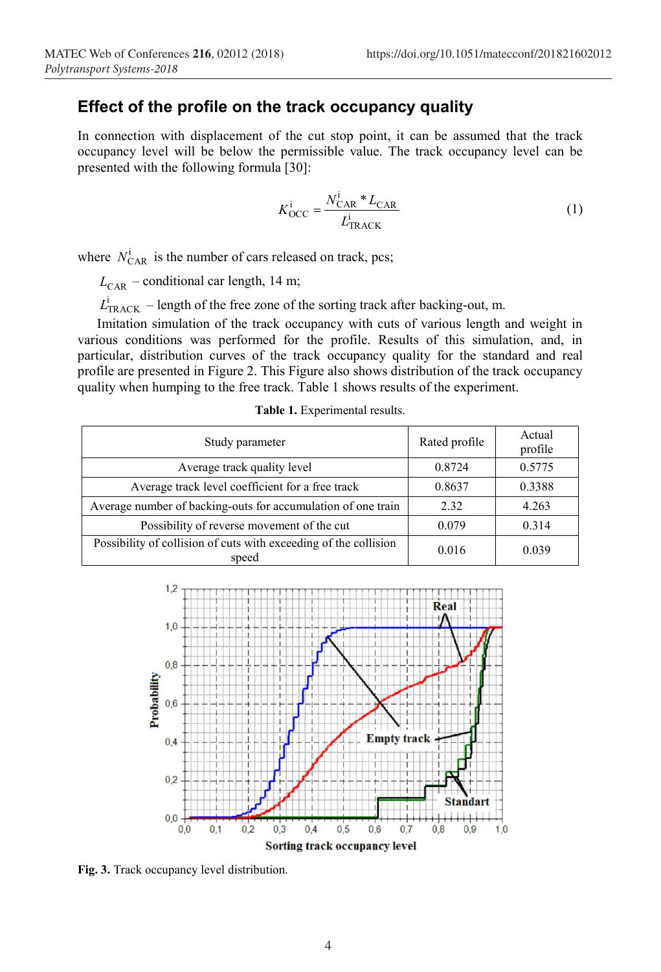# **Effect of the profile on the track occupancy quality**

In connection with displacement of the cut stop point, it can be assumed that the track occupancy level will be below the permissible value. The track occupancy level can be presented with the following formula [30]:

$$
K_{\text{OCC}}^{\text{i}} = \frac{N_{\text{CAR}}^{\text{i}} \, \mathcal{L}_{\text{CAR}} \, \mathcal{L}_{\text{CAR}}}{L_{\text{TRACK}}^{\text{i}}} \tag{1}
$$

where  $N_{\text{CAR}}^i$  is the number of cars released on track, pcs;

 $L_{\text{CAR}}$  – conditional car length, 14 m;

 $L<sub>TRACK</sub>$  – length of the free zone of the sorting track after backing-out, m.

Imitation simulation of the track occupancy with cuts of various length and weight in various conditions was performed for the profile. Results of this simulation, and, in particular, distribution curves of the track occupancy quality for the standard and real profile are presented in Figure 2. This Figure also shows distribution of the track occupancy quality when humping to the free track. Table 1 shows results of the experiment.

| Study parameter                                                           | Rated profile | Actual<br>profile |
|---------------------------------------------------------------------------|---------------|-------------------|
| Average track quality level                                               | 0.8724        | 0.5775            |
| Average track level coefficient for a free track                          | 0.8637        | 0.3388            |
| Average number of backing-outs for accumulation of one train              | 2.32          | 4.263             |
| Possibility of reverse movement of the cut                                | 0.079         | 0.314             |
| Possibility of collision of cuts with exceeding of the collision<br>speed | 0.016         | 0.039             |

**Table 1.** Experimental results.



**Fig. 3.** Track occupancy level distribution.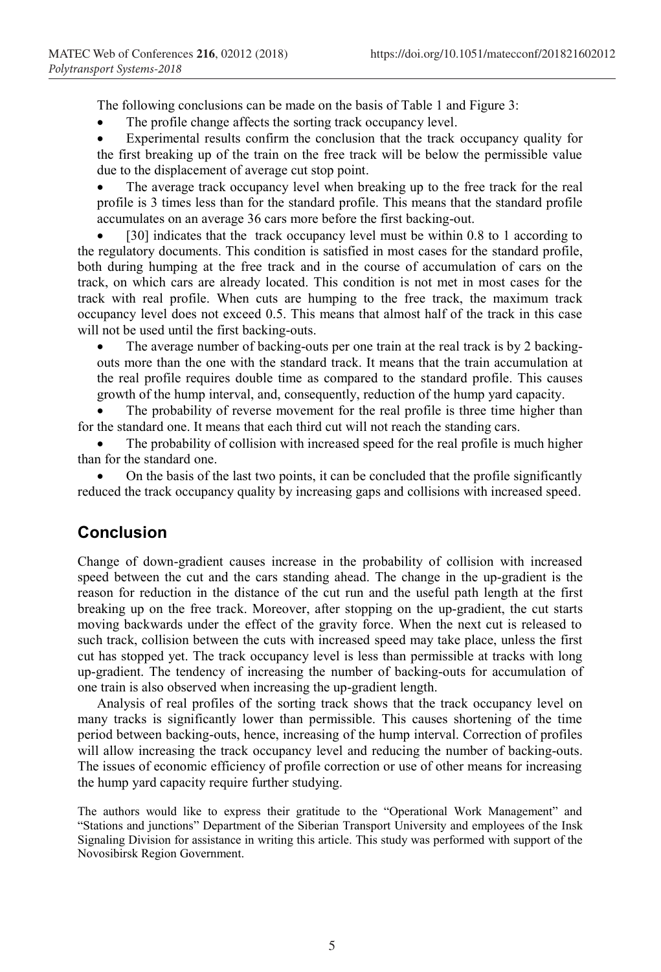The following conclusions can be made on the basis of Table 1 and Figure 3:

The profile change affects the sorting track occupancy level.

 Experimental results confirm the conclusion that the track occupancy quality for the first breaking up of the train on the free track will be below the permissible value due to the displacement of average cut stop point.

 The average track occupancy level when breaking up to the free track for the real profile is 3 times less than for the standard profile. This means that the standard profile accumulates on an average 36 cars more before the first backing-out.

[30] indicates that the track occupancy level must be within 0.8 to 1 according to the regulatory documents. This condition is satisfied in most cases for the standard profile, both during humping at the free track and in the course of accumulation of cars on the track, on which cars are already located. This condition is not met in most cases for the track with real profile. When cuts are humping to the free track, the maximum track occupancy level does not exceed 0.5. This means that almost half of the track in this case will not be used until the first backing-outs.

 The average number of backing-outs per one train at the real track is by 2 backingouts more than the one with the standard track. It means that the train accumulation at the real profile requires double time as compared to the standard profile. This causes growth of the hump interval, and, consequently, reduction of the hump yard capacity.

 The probability of reverse movement for the real profile is three time higher than for the standard one. It means that each third cut will not reach the standing cars.

 The probability of collision with increased speed for the real profile is much higher than for the standard one.

 On the basis of the last two points, it can be concluded that the profile significantly reduced the track occupancy quality by increasing gaps and collisions with increased speed.

## **Conclusion**

Change of down-gradient causes increase in the probability of collision with increased speed between the cut and the cars standing ahead. The change in the up-gradient is the reason for reduction in the distance of the cut run and the useful path length at the first breaking up on the free track. Moreover, after stopping on the up-gradient, the cut starts moving backwards under the effect of the gravity force. When the next cut is released to such track, collision between the cuts with increased speed may take place, unless the first cut has stopped yet. The track occupancy level is less than permissible at tracks with long up-gradient. The tendency of increasing the number of backing-outs for accumulation of one train is also observed when increasing the up-gradient length.

Analysis of real profiles of the sorting track shows that the track occupancy level on many tracks is significantly lower than permissible. This causes shortening of the time period between backing-outs, hence, increasing of the hump interval. Correction of profiles will allow increasing the track occupancy level and reducing the number of backing-outs. The issues of economic efficiency of profile correction or use of other means for increasing the hump yard capacity require further studying.

The authors would like to express their gratitude to the "Operational Work Management" and "Stations and junctions" Department of the Siberian Transport University and employees of the Insk Signaling Division for assistance in writing this article. This study was performed with support of the Novosibirsk Region Government.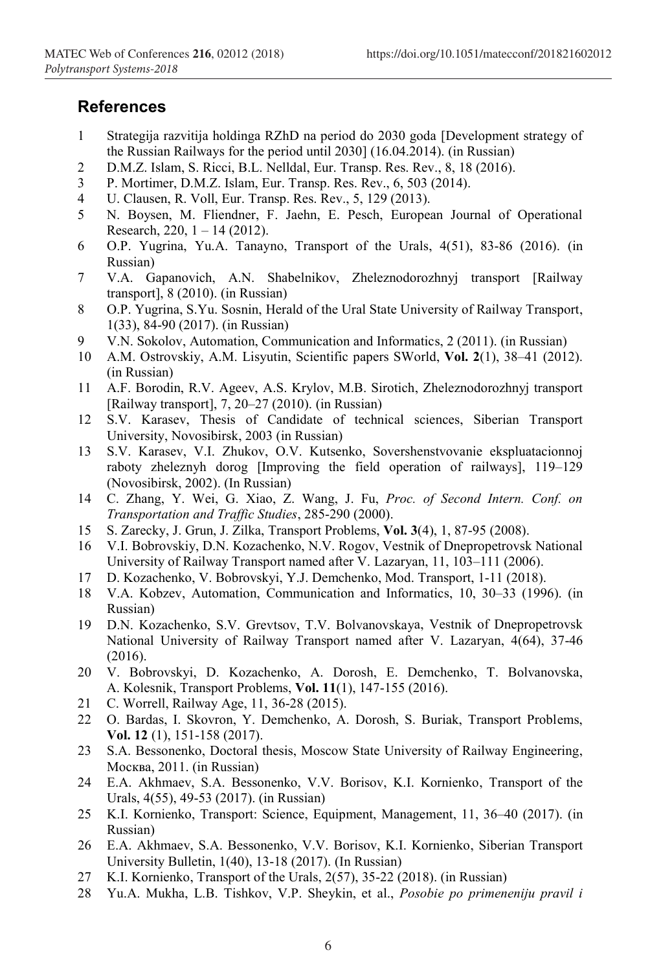#### **References**

- 1 Strategija razvitija holdinga RZhD na period do 2030 goda [Development strategy of the Russian Railways for the period until 2030] (16.04.2014). (in Russian)
- 2 D.M.Z. Islam, S. Ricci, B.L. Nelldal, Eur. Transp. Res. Rev., 8, 18 (2016).
- 3 P. Mortimer, D.M.Z. Islam, Eur. Transp. Res. Rev., 6, 503 (2014).
- 4 U. Clausen, R. Voll, Eur. Transp. Res. Rev., 5, 129 (2013).
- 5 N. Boysen, M. Fliendner, F. Jaehn, E. Pesch, European Journal of Operational Research, 220,  $1 - 14$  (2012).
- 6 O.P. Yugrina, Yu.A. Tanayno, Transport of the Urals, 4(51), 83-86 (2016). (in Russian)
- 7 V.A. Gapanovich, A.N. Shabelnikov, Zheleznodorozhnyj transport [Railway transport], 8 (2010). (in Russian)
- 8 O.P. Yugrina, S.Yu. Sosnin, Herald of the Ural State University of Railway Transport, 1(33), 84-90 (2017). (in Russian)
- 9 V.N. Sokolov, Automation, Communication and Informatics, 2 (2011). (in Russian)
- 10 A.M. Ostrovskiy, A.M. Lisyutin, Scientific papers SWorld, **Vol. 2**(1), 38–41 (2012). (in Russian)
- 11 A.F. Borodin, R.V. Ageev, A.S. Krylov, M.B. Sirotich, Zheleznodorozhnyj transport [Railway transport], 7, 20–27 (2010). (in Russian)
- 12 S.V. Karasev, Thesis of Candidate of technical sciences, Siberian Transport University, Novosibirsk, 2003 (in Russian)
- 13 S.V. Karasev, V.I. Zhukov, O.V. Kutsenko, Sovershenstvovanie ekspluatacionnoj raboty zheleznyh dorog [Improving the field operation of railways], 119–129 (Novosibirsk, 2002). (In Russian)
- 14 C. Zhang, Y. Wei, G. Xiao, Z. Wang, J. Fu, *Proc. of Second Intern. Conf. on Transportation and Traffic Studies*, 285-290 (2000).
- 15 S. Zarecky, J. Grun, J. Zilka, Transport Problems, **Vol. 3**(4), 1, 87-95 (2008).
- 16 V.I. Bobrovskiy, D.N. Kozachenko, N.V. Rogov, Vestnik of Dnepropetrovsk National University of Railway Transport named after V. Lazaryan, 11, 103–111 (2006).
- 17 D. Kozachenko, V. Bobrovskyi, Y.J. Demchenko, Mod. Transport, 1-11 (2018).
- 18 V.A. Kobzev, Automation, Communication and Informatics, 10, 30–33 (1996). (in Russian)
- 19 D.N. Kozachenko, S.V. Grevtsov, T.V. Bolvanovskaya, Vestnik of Dnepropetrovsk National University of Railway Transport named after V. Lazaryan, 4(64), 37-46 (2016).
- 20 V. Bobrovskyi, D. Kozachenko, A. Dorosh, E. Demchenko, T. Bolvanovska, A. Kolesnik, Transport Problems, **Vol. 11**(1), 147-155 (2016).
- 21 С. Worrell, Railway Age, 11, 36-28 (2015).
- 22 O. Bardas, I. Skovron, Y. Demchenko, A. Dorosh, S. Buriak, Transport Problems, **Vol. 12** (1), 151-158 (2017).
- 23 S.A. Bessonenko, Doctoral thesis, Moscow State University of Railway Engineering, Москва, 2011. (in Russian)
- 24 E.A. Akhmaev, S.A. Bessonenko, V.V. Borisov, K.I. Kornienko, Transport of the Urals, 4(55), 49-53 (2017). (in Russian)
- 25 K.I. Kornienko, Transport: Science, Equipment, Management, 11, 36–40 (2017). (in Russian)
- 26 E.A. Akhmaev, S.A. Bessonenko, V.V. Borisov, K.I. Kornienko, Siberian Transport University Bulletin, 1(40), 13-18 (2017). (In Russian)
- 27 K.I. Kornienko, Transport of the Urals, 2(57), 35-22 (2018). (in Russian)
- 28 Yu.A. Mukha, L.B. Tishkov, V.P. Sheykin, et al., *Posobie po primeneniju pravil i*